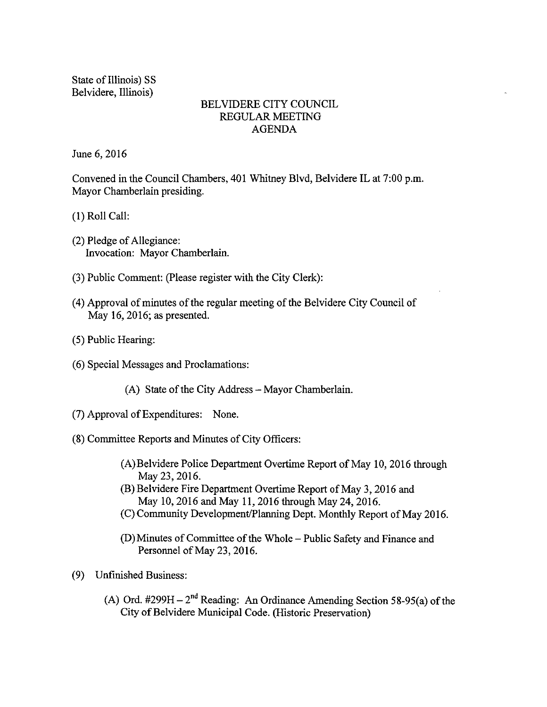State of Illinois) SS Belvidere, Illinois)

#### BELVIDERE CITY COUNCIL REGULAR MEETING AGENDA

June 6, 2016

Convened in the Council Chambers, 401 Whitney Blvd, Belvidere IL at 7:00 p.m. Mayor Chamberlain presiding.

1) Roll Call:

- 2) Pledge of Allegiance: Invocation: Mayor Chamberlain.
- 3) Public Comment: (Please register with the City Clerk):
- 4) Approval of minutes ofthe regular meeting of the Belvidere City Council of May 16, 2016; as presented.
- 5) Public Hearing:
- 6) Special Messages and Proclamations:
	- A) State of the City Address— Mayor Chamberlain.
- 7) Approval ofExpenditures: None.
- 8) Committee Reports and Minutes of City Officers:
	- A)Belvidere Police Department Overtime Report of May 10, 2016 through May 23, 2016.
	- B) Belvidere Fire Department Overtime Report of May 3, 2016 and May 10, 2016 and May 11, 2016 through May 24, 2016.
	- C) Community Development/Planning Dept. Monthly Report of May 2016.
	- D) Minutes of Committee of the Whole— Public Safety and Finance and Personnel of May 23, 2016.
- 9) Unfinished Business:
	- (A) Ord.  $\#299H 2^{nd}$  Reading: An Ordinance Amending Section 58-95(a) of the City of Belvidere Municipal Code. (Historic Preservation)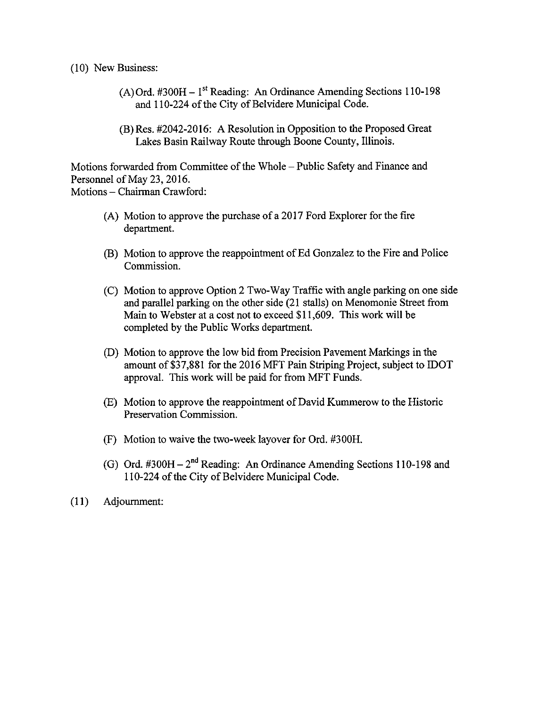#### 10) New Business:

- $(A)$ Ord. #300H 1<sup>st</sup> Reading: An Ordinance Amending Sections 110-198 and 110-224 of the City of Belvidere Municipal Code.
- (B) Res. #2042-2016: A Resolution in Opposition to the Proposed Great Lakes Basin Railway Route through Boone County, Illinois.

Motions forwarded from Committee of the Whole – Public Safety and Finance and Personnel of May 23, 2016. Motions—Chairman Crawford:

- A) Motion to approve the purchase of a 2017 Ford Explorer for the fire department.
- (B) Motion to approve the reappointment of Ed Gonzalez to the Fire and Police Commission.
- C) Motion to approve Option 2 Two-Way Traffic with angle parking on one side and parallel parking on the other side (21 stalls) on Menomonie Street from Main to Webster at a cost not to exceed \$11,609. This work will be completed by the Public Works department.
- D) Motion to approve the low bid from Precision Pavement Markings in the amount of \$37,881 for the 2016 MFT Pain Striping Project, subject to IDOT approval. This work will be paid for from MFT Funds.
- E) Motion to approve the reappointment of David Kummerow to the Historic Preservation Commission.
- F) Motion to waive the two-week layover for Ord. #300H.
- (G) Ord.  $\text{\#300H} 2^{\text{nd}}$  Reading: An Ordinance Amending Sections 110-198 and 110-224 of the City of Belvidere Municipal Code.
- 11) Adjournment: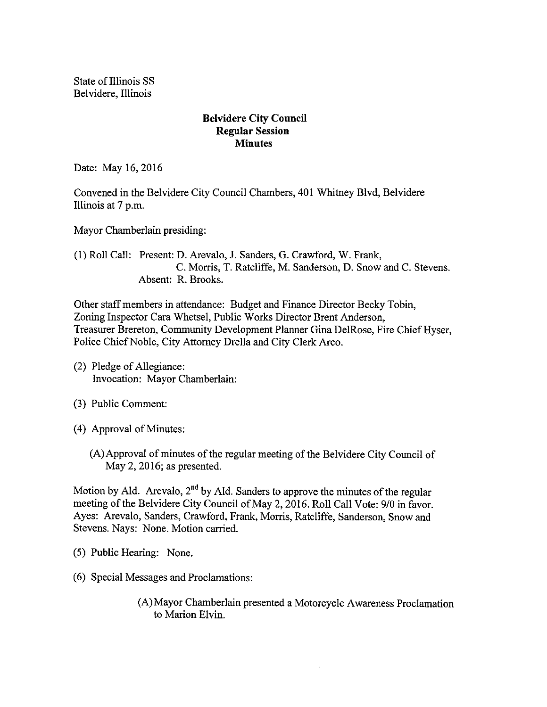State of Illinois SS Belvidere, Illinois

#### Belvidere City Council Regular Session **Minutes**

Date: May 16, 2016

Convened in the Belvidere City Council Chambers, 401 Whitney Blvd, Belvidere Illinois at 7 p.m.

Mayor Chamberlain presiding:

1) Roll Call: Present: D. Arevalo, J. Sanders, G. Crawford, W. Frank, C. Morris, T. Ratcliffe, M. Sanderson, D. Snow and C. Stevens. Absent: R. Brooks.

Other staff members in attendance: Budget and Finance Director Becky Tobin, Zoning Inspector Cara Whetsel, Public Works Director Brent Anderson, Treasurer Brereton, Community Development Planner Gina DelRose, Fire Chief Hyser, Police Chief Noble, City Attorney Drella and City Clerk Arco.

- 2) Pledge of Allegiance: Invocation: Mayor Chamberlain:
- 3) Public Comment:
- 4) Approval of Minutes:
	- A)Approval of minutes of the regular meeting of the Belvidere City Council of May 2, 2016; as presented.

Motion by Ald. Arevalo, 2<sup>nd</sup> by Ald. Sanders to approve the minutes of the regular meeting of the Belvidere City Council of May 2, 2016. Roll Call Vote: 9/0 in favor. Ayes: Arevalo, Sanders, Crawford, Frank, Morris, Ratcliffe, Sanderson, Snow and Stevens. Nays: None. Motion carried.

- 5) Public Hearing: None.
- 6) Special Messages and Proclamations:
	- A) Mayor Chamberlain presented a Motorcycle Awareness Proclamation to Marion Elvin.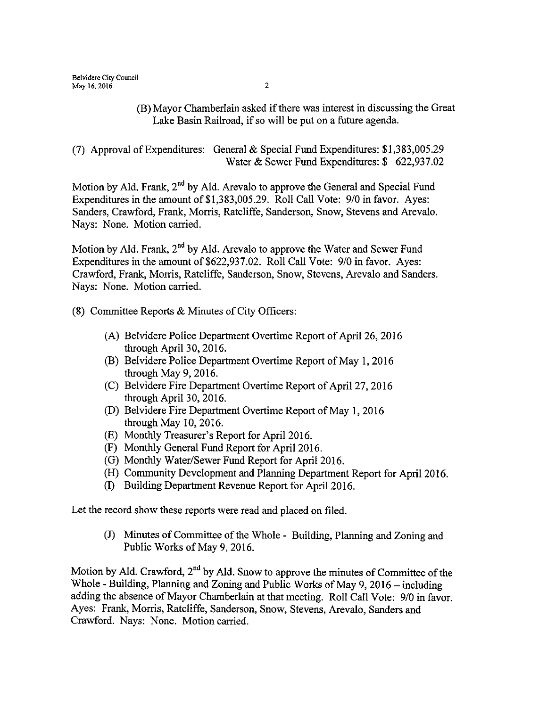#### (B) Mayor Chamberlain asked if there was interest in discussing the Great Lake Basin Railroad, if so will be put on <sup>a</sup> future agenda.

(7) Approval of Expenditures: General & Special Fund Expenditures:  $$1,383,005.29$ Water & Sewer Fund Expenditures: \$ 622,937.02

Motion by Ald. Frank,  $2<sup>nd</sup>$  by Ald. Arevalo to approve the General and Special Fund Expenditures in the amount of \$1,383,005.29. Roll Call Vote: 9/0 in favor. Ayes: Sanders, Crawford, Frank, Morris, Ratcliffe, Sanderson, Snow, Stevens and Arevalo. Nays: None. Motion carried.

Motion by Ald. Frank,  $2<sup>nd</sup>$  by Ald. Arevalo to approve the Water and Sewer Fund Expenditures in the amount of \$622,937.02. Roll Call Vote: 9/0 in favor. Ayes: Crawford, Frank, Morris, Ratcliffe, Sanderson, Snow, Stevens, Arevalo and Sanders. Nays: None. Motion carried.

8) Committee Reports & Minutes of City Officers:

- (A) Belvidere Police Department Overtime Report of April 26, 2016 through April 30, 2016.
- B) Belvidere Police Department Overtime Report of May 1, 2016 through May 9, 2016.
- (C) Belvidere Fire Department Overtime Report of April 27, 2016 through April 30, 2016.
- D) Belvidere Fire Department Overtime Report of May 1, 2016 through May 10, 2016.
- (E) Monthly Treasurer's Report for April 2016.
- F) Monthly General Fund Report for April 2016.
- (G) Monthly Water/Sewer Fund Report for April 2016.
- H) Community Development and Planning Department Report for April 2016.
- I) Building Department Revenue Report for April 2016.

Let the record show these reports were read and placed on filed.

J) Minutes of Committee of the Whole - Building, Planning and Zoning and Public Works of May 9, 2016.

Motion by Ald. Crawford, 2<sup>nd</sup> by Ald. Snow to approve the minutes of Committee of the Whole - Building, Planning and Zoning and Public Works of May 9, 2016— including adding the absence of Mayor Chamberlain at that meeting. Roll Call Vote: 9/0 in favor. Ayes: Frank, Morris, Ratcliffe, Sanderson, Snow, Stevens, Arevalo, Sanders and Crawford. Nays: None. Motion carried.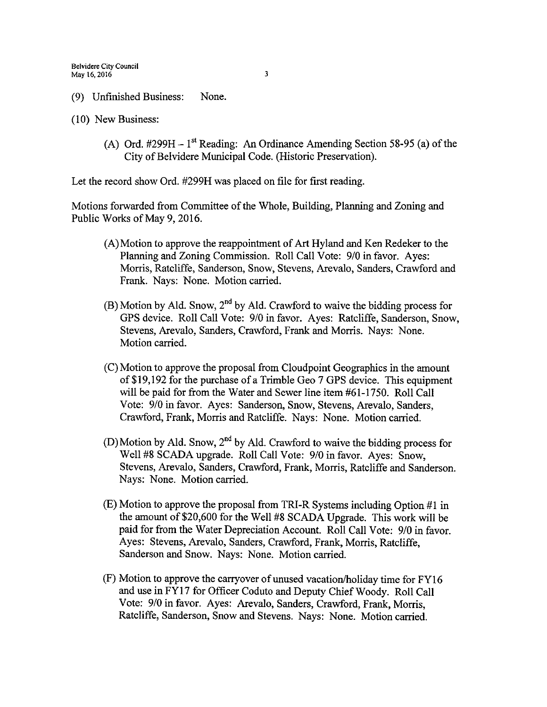- 9) Unfinished Business: None.
- 10) New Business:
	- (A) Ord. #299H  $1<sup>st</sup>$  Reading: An Ordinance Amending Section 58-95 (a) of the City of Belvidere Municipal Code. ( Historic Preservation).

Let the record show Ord. #299H was placed on file for first reading.

Motions forwarded from Committee of the Whole, Building, Planning and Zoning and Public Works of May 9, 2016.

- $(A)$ Motion to approve the reappointment of Art Hyland and Ken Redeker to the Planning and Zoning Commission. Roll Call Vote: 9/0 in favor. Ayes: Morris, Ratcliffe, Sanderson, Snow, Stevens, Arevalo, Sanders, Crawford and Frank. Nays: None. Motion carried.
- $(B)$  Motion by Ald. Snow, 2<sup>nd</sup> by Ald. Crawford to waive the bidding process for GPS device. Roll Call Vote: 9/0 in favor. Ayes: Ratcliffe, Sanderson, Snow, Stevens, Arevalo, Sanders, Crawford, Frank and Morris. Nays: None. Motion carried.
- C) Motion to approve the proposal from Cloudpoint Geographics in the amount of\$ 19, 192 for the purchase of a Trimble Geo 7 GPS device. This equipment will be paid for from the Water and Sewer line item #61-1750. Roll Call Vote: 9/0 in favor. Ayes: Sanderson, Snow, Stevens, Arevalo, Sanders, Crawford, Frank, Morris and Ratcliffe. Nays: None. Motion carried.
- D) Motion by Ald. Snow,  $2<sup>nd</sup>$  by Ald. Crawford to waive the bidding process for Well #8 SCADA upgrade. Roll Call Vote: 9/0 in favor. Ayes: Snow, Stevens, Arevalo, Sanders, Crawford, Frank, Morris, Ratcliffe and Sanderson. Nays: None. Motion carried.
- E) Motion to approve the proposal from TRI-R Systems including Option# <sup>1</sup> in the amount of \$20,600 for the Well #8 SCADA Upgrade. This work will be paid for from the Water Depreciation Account. Roll Call Vote: 9/0 in favor. Ayes: Stevens, Arevalo, Sanders, Crawford, Frank, Morris, Ratcliffe, Sanderson and Snow. Nays: None. Motion carried.
- F) Motion to approve the carryover of unused vacation/holiday time for FY16 and use in FY17 for Officer Coduto and Deputy Chief Woody. Roll Call Vote: 9/0 in favor. Ayes: Arevalo, Sanders, Crawford, Frank, Morris, Ratcliffe, Sanderson, Snow and Stevens. Nays: None. Motion carried.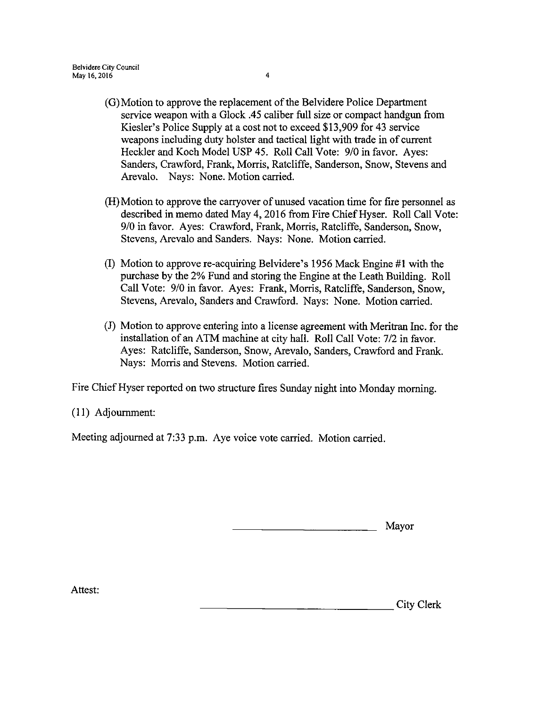- G) Motion to approve the replacement of the Belvidere Police Department service weapon with a Glock .45 caliber full size or compact handgun from Kiesler's Police Supply at a cost not to exceed \$13,909 for 43 service weapons including duty holster and tactical light with trade in of current Heckler and Koch Model USP 45. Roll Call Vote: 9/0 in favor. Ayes: Sanders, Crawford, Frank, Morris, Ratcliffe, Sanderson, Snow, Stevens and Arevalo. Nays: None. Motion carried.
- H) Motion to approve the carryover of unused vacation time for fire personnel as described in memo dated May 4, 2016 from Fire Chief Hyser. Roll Call Vote: 9/0 in favor. Ayes: Crawford, Frank, Morris, Ratcliffe, Sanderson, Snow, Stevens, Arevalo and Sanders. Nays: None. Motion carried.
- (I) Motion to approve re-acquiring Belvidere's 1956 Mack Engine  $#1$  with the purchase by the 2% Fund and storing the Engine at the Leath Building. Roll Call Vote: 9/0 in favor. Ayes: Frank, Morris, Ratcliffe, Sanderson, Snow, Stevens, Arevalo, Sanders and Crawford. Nays: None. Motion carried.
- 1) Motion to approve entering into a license agreement with Meritran Inc. for the installation of an ATM machine at city hall. Roll Call Vote: 7/2 in favor. Ayes: Ratcliffe, Sanderson, Snow, Arevalo, Sanders, Crawford and Frank. Nays: Morris and Stevens. Motion carried.

Fire Chief Hyser reported on two structure fires Sunday night into Monday morning.

I1) Adjournment:

Meeting adjourned at 7:33 p.m. Aye voice vote carried. Motion carried.

Mayor

Attest:

City Clerk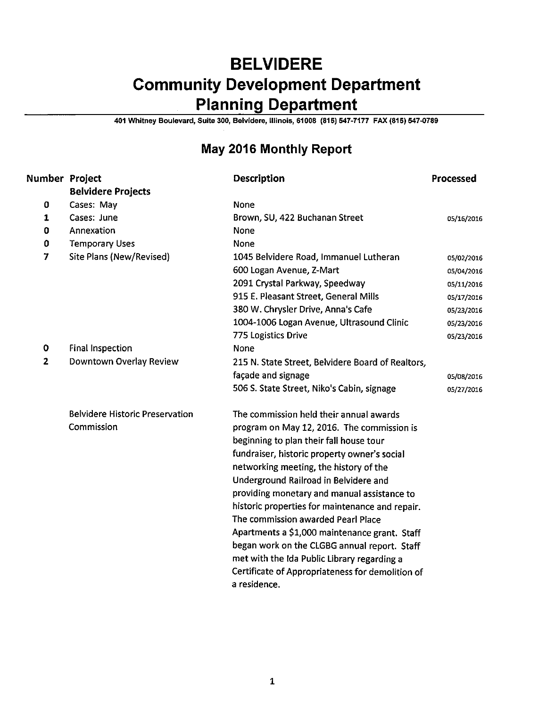# BELVIDERE Community Development Department Planning Department

401 Whitney Boulevard, Suite 300, Belvidere, Illinois, 61008 ( 815) 547- 7177 FAX( 815) 547-0789

## May 2016 Monthly Report

| Number Project |                                        | <b>Description</b>                                               | Processed  |
|----------------|----------------------------------------|------------------------------------------------------------------|------------|
|                | <b>Belvidere Projects</b>              |                                                                  |            |
| 0              | Cases: May                             | None                                                             |            |
| 1              | Cases: June                            | Brown, SU, 422 Buchanan Street                                   | 05/16/2016 |
| 0              | Annexation                             | None                                                             |            |
| 0              | <b>Temporary Uses</b>                  | None                                                             |            |
| 7              | Site Plans (New/Revised)               | 1045 Belvidere Road, Immanuel Lutheran                           | 05/02/2016 |
|                |                                        | 600 Logan Avenue, Z-Mart                                         | 05/04/2016 |
|                |                                        | 2091 Crystal Parkway, Speedway                                   | 05/11/2016 |
|                |                                        | 915 E. Pleasant Street, General Mills                            | 05/17/2016 |
|                |                                        | 380 W. Chrysler Drive, Anna's Cafe                               | 05/23/2016 |
|                |                                        | 1004-1006 Logan Avenue, Ultrasound Clinic                        | 05/23/2016 |
|                |                                        | 775 Logistics Drive                                              | 05/23/2016 |
| $\bf{0}$       | <b>Final Inspection</b>                | None                                                             |            |
| 2              | Downtown Overlay Review                | 215 N. State Street, Belvidere Board of Realtors,                |            |
|                |                                        | façade and signage                                               | 05/08/2016 |
|                |                                        | 506 S. State Street, Niko's Cabin, signage                       | 05/27/2016 |
|                | <b>Belvidere Historic Preservation</b> | The commission held their annual awards                          |            |
|                | Commission                             | program on May 12, 2016. The commission is                       |            |
|                |                                        | beginning to plan their fall house tour                          |            |
|                |                                        | fundraiser, historic property owner's social                     |            |
|                |                                        | networking meeting, the history of the                           |            |
|                |                                        | Underground Railroad in Belvidere and                            |            |
|                |                                        | providing monetary and manual assistance to                      |            |
|                |                                        | historic properties for maintenance and repair.                  |            |
|                |                                        | The commission awarded Pearl Place                               |            |
|                |                                        | Apartments a \$1,000 maintenance grant. Staff                    |            |
|                |                                        | began work on the CLGBG annual report. Staff                     |            |
|                |                                        | met with the Ida Public Library regarding a                      |            |
|                |                                        | Certificate of Appropriateness for demolition of<br>a residence. |            |
|                |                                        |                                                                  |            |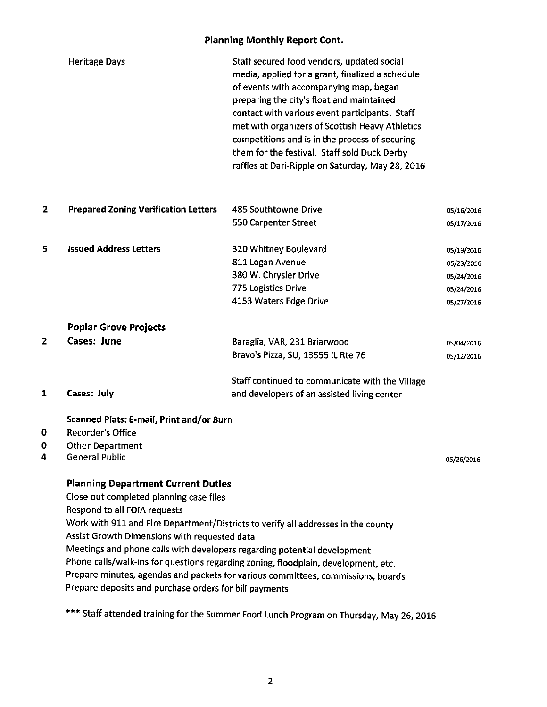#### Planning Monthly Report Cont.

|   | <b>Heritage Days</b>                                                     | Staff secured food vendors, updated social<br>media, applied for a grant, finalized a schedule<br>of events with accompanying map, began<br>preparing the city's float and maintained<br>contact with various event participants. Staff<br>met with organizers of Scottish Heavy Athletics<br>competitions and is in the process of securing<br>them for the festival. Staff sold Duck Derby<br>raffles at Dari-Ripple on Saturday, May 28, 2016 |            |
|---|--------------------------------------------------------------------------|--------------------------------------------------------------------------------------------------------------------------------------------------------------------------------------------------------------------------------------------------------------------------------------------------------------------------------------------------------------------------------------------------------------------------------------------------|------------|
| 2 | <b>Prepared Zoning Verification Letters</b>                              | 485 Southtowne Drive                                                                                                                                                                                                                                                                                                                                                                                                                             | 05/16/2016 |
|   |                                                                          | 550 Carpenter Street                                                                                                                                                                                                                                                                                                                                                                                                                             | 05/17/2016 |
| 5 | <b>Issued Address Letters</b>                                            | 320 Whitney Boulevard                                                                                                                                                                                                                                                                                                                                                                                                                            | 05/19/2016 |
|   |                                                                          | 811 Logan Avenue                                                                                                                                                                                                                                                                                                                                                                                                                                 | 05/23/2016 |
|   |                                                                          | 380 W. Chrysler Drive                                                                                                                                                                                                                                                                                                                                                                                                                            | 05/24/2016 |
|   |                                                                          | 775 Logistics Drive                                                                                                                                                                                                                                                                                                                                                                                                                              | 05/24/2016 |
|   |                                                                          | 4153 Waters Edge Drive                                                                                                                                                                                                                                                                                                                                                                                                                           | 05/27/2016 |
|   | <b>Poplar Grove Projects</b>                                             |                                                                                                                                                                                                                                                                                                                                                                                                                                                  |            |
| 2 | <b>Cases: June</b>                                                       | Baraglia, VAR, 231 Briarwood                                                                                                                                                                                                                                                                                                                                                                                                                     | 05/04/2016 |
|   |                                                                          | Bravo's Pizza, SU, 13555 IL Rte 76                                                                                                                                                                                                                                                                                                                                                                                                               | 05/12/2016 |
|   |                                                                          | Staff continued to communicate with the Village                                                                                                                                                                                                                                                                                                                                                                                                  |            |
| 1 | Cases: July                                                              | and developers of an assisted living center                                                                                                                                                                                                                                                                                                                                                                                                      |            |
|   | Scanned Plats: E-mail, Print and/or Burn                                 |                                                                                                                                                                                                                                                                                                                                                                                                                                                  |            |
| 0 | <b>Recorder's Office</b>                                                 |                                                                                                                                                                                                                                                                                                                                                                                                                                                  |            |
| 0 | <b>Other Department</b>                                                  |                                                                                                                                                                                                                                                                                                                                                                                                                                                  |            |
| 4 | <b>General Public</b>                                                    |                                                                                                                                                                                                                                                                                                                                                                                                                                                  | 05/26/2016 |
|   | <b>Planning Department Current Duties</b>                                |                                                                                                                                                                                                                                                                                                                                                                                                                                                  |            |
|   | Close out completed planning case files                                  |                                                                                                                                                                                                                                                                                                                                                                                                                                                  |            |
|   | Respond to all FOIA requests                                             |                                                                                                                                                                                                                                                                                                                                                                                                                                                  |            |
|   |                                                                          | Work with 911 and Fire Department/Districts to verify all addresses in the county                                                                                                                                                                                                                                                                                                                                                                |            |
|   | Assist Growth Dimensions with requested data                             |                                                                                                                                                                                                                                                                                                                                                                                                                                                  |            |
|   | Meetings and phone calls with developers regarding potential development |                                                                                                                                                                                                                                                                                                                                                                                                                                                  |            |
|   |                                                                          | Phone calls/walk-ins for questions regarding zoning, floodplain, development, etc.                                                                                                                                                                                                                                                                                                                                                               |            |
|   |                                                                          | Prepare minutes, agendas and packets for various committees, commissions, boards                                                                                                                                                                                                                                                                                                                                                                 |            |
|   | Prepare deposits and purchase orders for bill payments                   |                                                                                                                                                                                                                                                                                                                                                                                                                                                  |            |

\*\*\* Staff attended training for the Summer Food Lunch Program on Thursday, May 26, 2016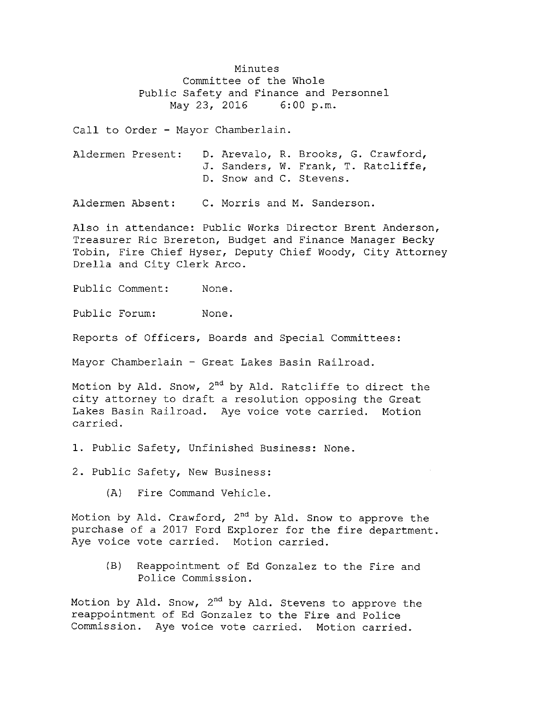Minutes Committee of the Whole Public Safety and Finance and Personnel<br>May 23, 2016 6:00 p.m. May 23, 2016

Call to Order - Mayor Chamberlain.

| Aldermen Present: |  | D. Arevalo, R. Brooks, G. Crawford, |
|-------------------|--|-------------------------------------|
|                   |  | J. Sanders, W. Frank, T. Ratcliffe, |
|                   |  | D. Snow and C. Stevens.             |

Aldermen Absent: C. Morris and M. Sanderson.

Also in attendance: Public Works Director Brent Anderson, Treasurer Ric Brereton, Budget and Finance Manager Becky Tobin, Fire Chief Hyser, Deputy Chief Woody, City Attorney Drella and City Clerk Arco.

Public Comment: None.

Public Forum: None.

Reports of Officers, Boards and Special Committees :

Mayor Chamberlain - Great Lakes Basin Railroad.

Motion by Ald. Snow, 2<sup>nd</sup> by Ald. Ratcliffe to direct the city attorney to draft <sup>a</sup> resolution opposing the Great Lakes Basin Railroad. Aye voice vote carried. Motion carried.

1. Public Safety, Unfinished Business: None.

2. Public Safety, New Business:

A) Fire Command Vehicle.

Motion by Ald. Crawford, 2<sup>nd</sup> by Ald. Snow to approve the purchase of a 2017 Ford Explorer for the fire department. Aye voice vote carried. Motion carried.

B) Reappointment of Ed Gonzalez to the Fire and Police Commission.

Motion by Ald. Snow, 2nd by Ald. Stevens to approve the reappointment of Ed Gonzalez to the Fire and Police Commission. Aye voice vote carried. Motion carried.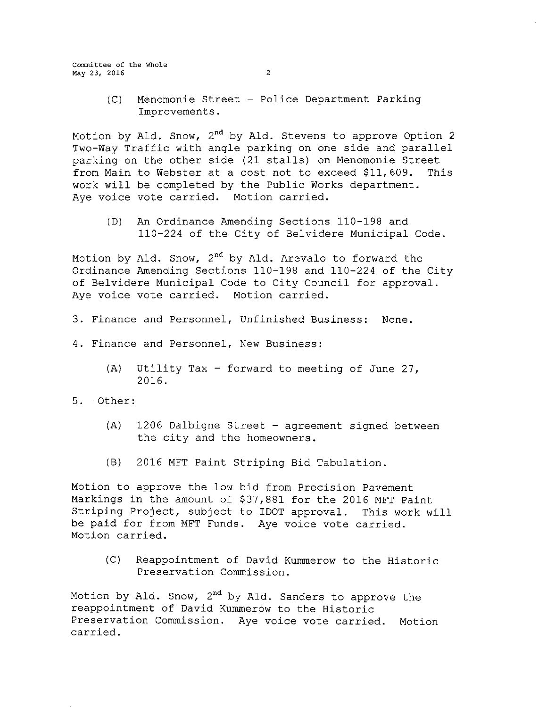Committee of the Whole May 23, 2016 2

- 
- C) Menomonie Street Police Department Parking Improvements .

Motion by Ald. Snow, 2nd by Ald. Stevens to approve Option <sup>2</sup> Two-Way Traffic with angle parking on one side and parallel parking on the other side (<sup>21</sup> stalls) on Menomonie Street from Main to Webster at <sup>a</sup> cost not to exceed \$11, 609. This work will be completed by the Public Works department. Aye voice vote carried. Motion carried.

(D) An Ordinance Amending Sections 110-198 and 110- 224 of the City of Belvidere Municipal Code.

Motion by Ald. Snow,  $2^{nd}$  by Ald. Arevalo to forward the Ordinance Amending Sections 110-198 and 110-224 of the City of Belvidere Municipal Code to City Council for approval . Aye voice vote carried. Motion carried.

- 3. Finance and Personnel, Unfinished Business: None.
- 4. Finance and Personnel, New Business:
	- A) Utility Tax forward to meeting of June 27, 2016.
- 5. Other:
	- $(A)$  1206 Dalbigne Street agreement signed between the city and the homeowners .
	- B) 2016 MFT Paint Striping Bid Tabulation.

Motion to approve the low bid from Precision Pavement Markings in the amount of \$37, 881 for the 2016 MFT Paint Striping Project, subject to IDOT approval. This work will be paid for from MFT Funds. Aye voice vote carried. Motion carried.

C) Reappointment of David Kummerow to the Historic Preservation Commission.

Motion by Ald. Snow,  $2^{nd}$  by Ald. Sanders to approve the reappointment of David Kummerow to the Historic Preservation Commission. Aye voice vote carried. Motion carried.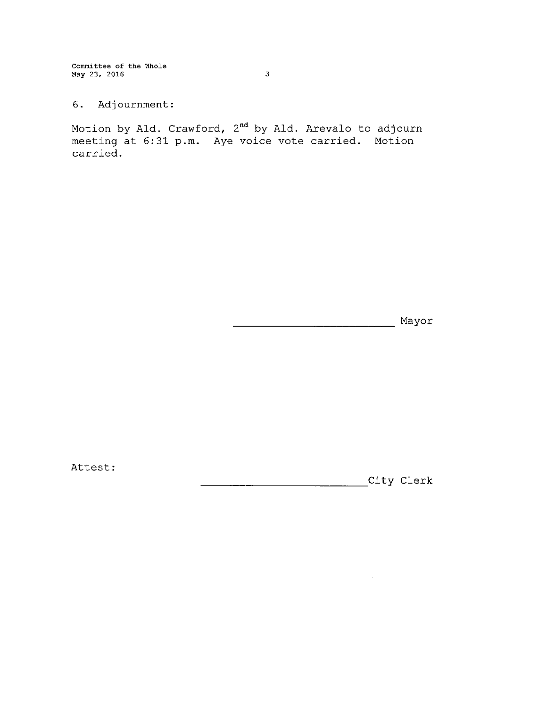Committee of the Whole May 23, 2016 3

6. Adjournment:

Motion by Ald. Crawford, 2<sup>nd</sup> by Ald. Arevalo to adjourn meeting at 6:31 p.m. Aye voice vote carried. Motion carried.

Mayor

Attest:

City Clerk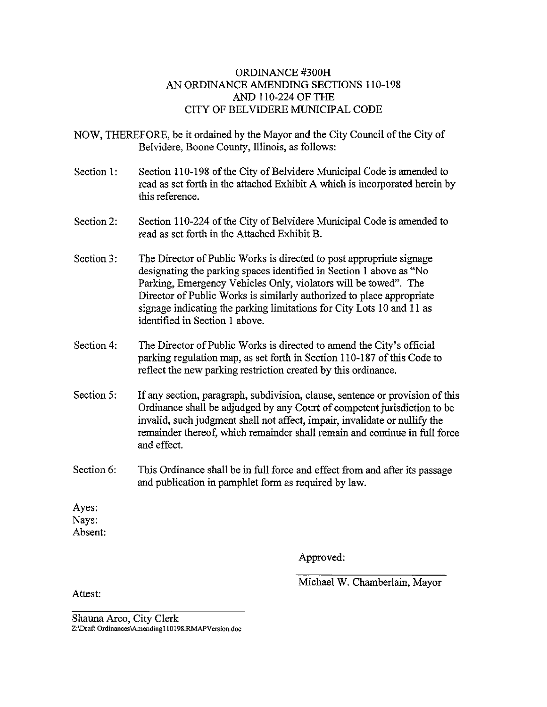#### ORDINANCE #300H AN ORDINANCE AMENDING SECTIONS 110-198 AND 110-224 OF THE CITY OF BELVIDERE MUNICIPAL CODE

NOW, THEREFORE, be it ordained by the Mayor and the City Council of the City of Belvidere, Boone County, Illinois, as follows:

- Section 1: Section 110-198 of the City of Belvidere Municipal Code is amended to read as set forth in the attached Exhibit A which is incorporated herein by this reference.
- Section 2: Section 110-224 of the City of Belvidere Municipal Code is amended to read as set forth in the Attached Exhibit B.
- Section 3: The Director of Public Works is directed to post appropriate signage designating the parking spaces identified in Section <sup>1</sup> above as" No Parking, Emergency Vehicles Only, violators will be towed". The Director of Public Works is similarly authorized to place appropriate signage indicating the parking limitations for City Lots 10 and <sup>11</sup> as identified in Section <sup>1</sup> above.
- Section 4: The Director of Public Works is directed to amend the City's official parking regulation map, as set forth in Section 110- 187 of this Code to reflect the new parking restriction created by this ordinance.
- Section 5: If any section, paragraph, subdivision, clause, sentence or provision of this Ordinance shall be adjudged by any Court of competent jurisdiction to be invalid, such judgment shall not affect, impair, invalidate or nullify the remainder thereof, which remainder shall remain and continue in full force and effect.
- Section 6: This Ordinance shall be in full force and effect from and after its passage and publication in pamphlet form as required by law.

Ayes: Nays: Absent:

Approved:

Michael W. Chamberlain, Mayor

Attest:

Shauna Arco, City Clerk Z:\Draft Ordinances\Amending110198.RMAPVersion.doc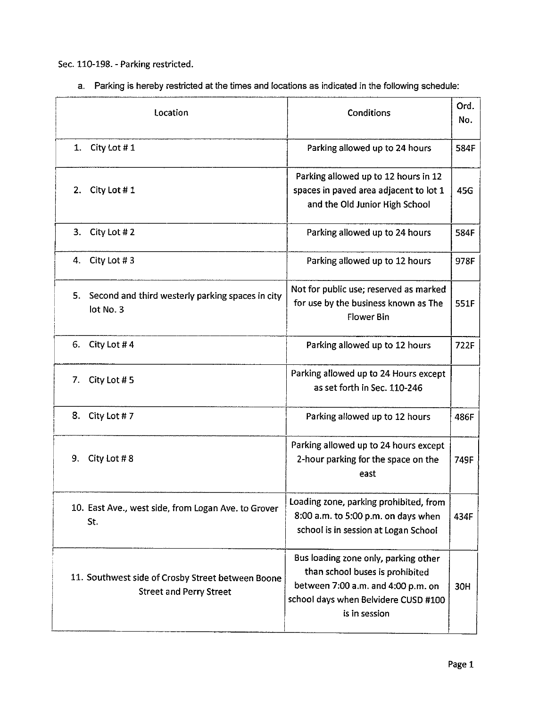Sec. 110-198. - Parking restricted.

a. Parking is hereby restricted at the times and locations as indicated in the following schedule:

| Location                                                                            | Conditions                                                                                                                                                             | Ord.<br>No. |
|-------------------------------------------------------------------------------------|------------------------------------------------------------------------------------------------------------------------------------------------------------------------|-------------|
| City Lot #1<br>1.                                                                   | Parking allowed up to 24 hours                                                                                                                                         | 584F        |
| City Lot #1<br>2.                                                                   | Parking allowed up to 12 hours in 12<br>spaces in paved area adjacent to lot 1<br>and the Old Junior High School                                                       | 45G         |
| 3.<br>City Lot #2                                                                   | Parking allowed up to 24 hours                                                                                                                                         | 584F        |
| City Lot #3<br>4.                                                                   | Parking allowed up to 12 hours                                                                                                                                         | 978F        |
| 5.<br>Second and third westerly parking spaces in city<br>lot No. 3                 | Not for public use; reserved as marked<br>for use by the business known as The<br>Flower Bin                                                                           | 551F        |
| 6.<br>City Lot #4                                                                   | Parking allowed up to 12 hours                                                                                                                                         | <b>722F</b> |
| City Lot #5<br>7.                                                                   | Parking allowed up to 24 Hours except<br>as set forth in Sec. 110-246                                                                                                  |             |
| 8. City Lot #7                                                                      | Parking allowed up to 12 hours                                                                                                                                         | 486F        |
| 9.<br>City Lot #8                                                                   | Parking allowed up to 24 hours except<br>2-hour parking for the space on the<br>east                                                                                   | 749F        |
| 10. East Ave., west side, from Logan Ave. to Grover<br>St.                          | Loading zone, parking prohibited, from<br>8:00 a.m. to 5:00 p.m. on days when<br>school is in session at Logan School                                                  | 434F        |
| 11. Southwest side of Crosby Street between Boone<br><b>Street and Perry Street</b> | Bus loading zone only, parking other<br>than school buses is prohibited<br>between 7:00 a.m. and 4:00 p.m. on<br>school days when Belvidere CUSD #100<br>is in session | 30H         |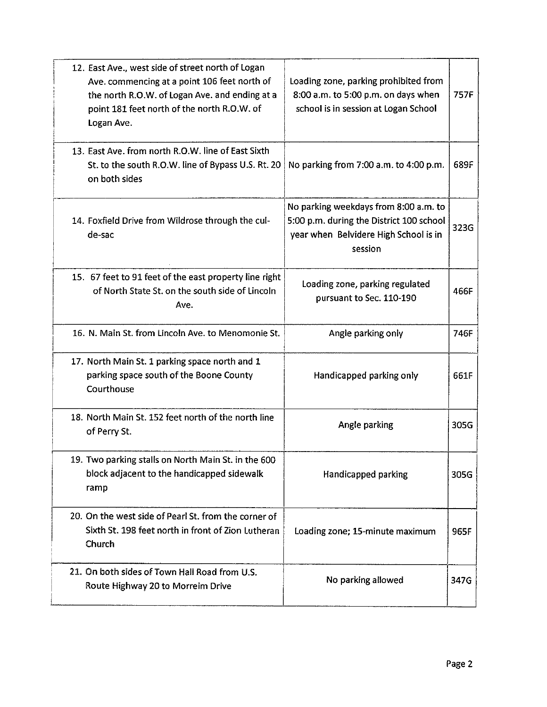| 12. East Ave., west side of street north of Logan<br>Ave. commencing at a point 106 feet north of<br>the north R.O.W. of Logan Ave. and ending at a<br>point 181 feet north of the north R.O.W. of<br>Logan Ave. | Loading zone, parking prohibited from<br>8:00 a.m. to 5:00 p.m. on days when<br>school is in session at Logan School                  | 757F |
|------------------------------------------------------------------------------------------------------------------------------------------------------------------------------------------------------------------|---------------------------------------------------------------------------------------------------------------------------------------|------|
| 13. East Ave. from north R.O.W. line of East Sixth<br>St. to the south R.O.W. line of Bypass U.S. Rt. 20<br>on both sides                                                                                        | No parking from 7:00 a.m. to 4:00 p.m.                                                                                                | 689F |
| 14. Foxfield Drive from Wildrose through the cul-<br>de-sac                                                                                                                                                      | No parking weekdays from 8:00 a.m. to<br>5:00 p.m. during the District 100 school<br>year when Belvidere High School is in<br>session | 323G |
| 15. 67 feet to 91 feet of the east property line right<br>of North State St. on the south side of Lincoln<br>Ave.                                                                                                | Loading zone, parking regulated<br>pursuant to Sec. 110-190                                                                           | 466F |
| 16. N. Main St. from Lincoln Ave. to Menomonie St.                                                                                                                                                               | Angle parking only                                                                                                                    | 746F |
| 17. North Main St. 1 parking space north and 1<br>parking space south of the Boone County<br>Courthouse                                                                                                          | Handicapped parking only                                                                                                              | 661F |
| 18. North Main St. 152 feet north of the north line<br>of Perry St.                                                                                                                                              | Angle parking                                                                                                                         | 305G |
| 19. Two parking stalls on North Main St. in the 600<br>block adjacent to the handicapped sidewalk<br>ramp                                                                                                        | Handicapped parking                                                                                                                   | 305G |
| 20. On the west side of Pearl St. from the corner of<br>Sixth St. 198 feet north in front of Zion Lutheran<br>Church                                                                                             | Loading zone; 15-minute maximum                                                                                                       | 965F |
| 21. On both sides of Town Hall Road from U.S.<br>Route Highway 20 to Morreim Drive                                                                                                                               | No parking allowed                                                                                                                    | 347G |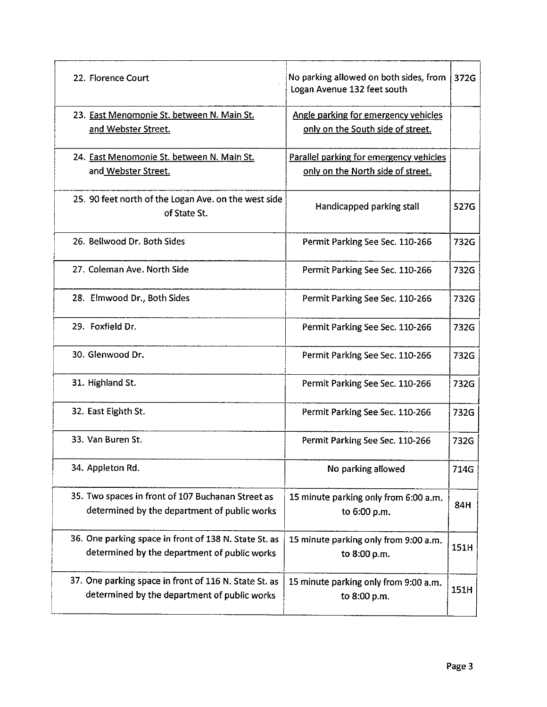| 22. Florence Court                                                   | No parking allowed on both sides, from<br>Logan Avenue 132 feet south | 372G |
|----------------------------------------------------------------------|-----------------------------------------------------------------------|------|
| 23. East Menomonie St. between N. Main St.                           | Angle parking for emergency vehicles                                  |      |
| and Webster Street.                                                  | only on the South side of street.                                     |      |
| 24. East Menomonie St. between N. Main St.                           | Parallel parking for emergency vehicles                               |      |
| and Webster Street.                                                  | only on the North side of street.                                     |      |
| 25. 90 feet north of the Logan Ave. on the west side<br>of State St. | Handicapped parking stall                                             | 527G |
| 26. Bellwood Dr. Both Sides                                          | Permit Parking See Sec. 110-266                                       | 732G |
| 27. Coleman Ave. North Side                                          | Permit Parking See Sec. 110-266                                       | 732G |
| 28. Elmwood Dr., Both Sides                                          | Permit Parking See Sec. 110-266                                       | 732G |
| 29. Foxfield Dr.                                                     | Permit Parking See Sec. 110-266                                       | 732G |
| 30. Glenwood Dr.                                                     | Permit Parking See Sec. 110-266                                       | 732G |
| 31. Highland St.                                                     | Permit Parking See Sec. 110-266                                       | 732G |
| 32. East Eighth St.                                                  | Permit Parking See Sec. 110-266                                       | 732G |
| 33. Van Buren St.                                                    | Permit Parking See Sec. 110-266                                       | 732G |
| 34. Appleton Rd.                                                     | No parking allowed                                                    | 714G |
| 35. Two spaces in front of 107 Buchanan Street as                    | 15 minute parking only from 6:00 a.m.                                 |      |
| determined by the department of public works                         | to 6:00 p.m.                                                          | 84H  |
| 36. One parking space in front of 138 N. State St. as                | 15 minute parking only from 9:00 a.m.                                 | 151H |
| determined by the department of public works                         | to 8:00 p.m.                                                          |      |
| 37. One parking space in front of 116 N. State St. as                | 15 minute parking only from 9:00 a.m.                                 | 151H |
| determined by the department of public works                         | to 8:00 p.m.                                                          |      |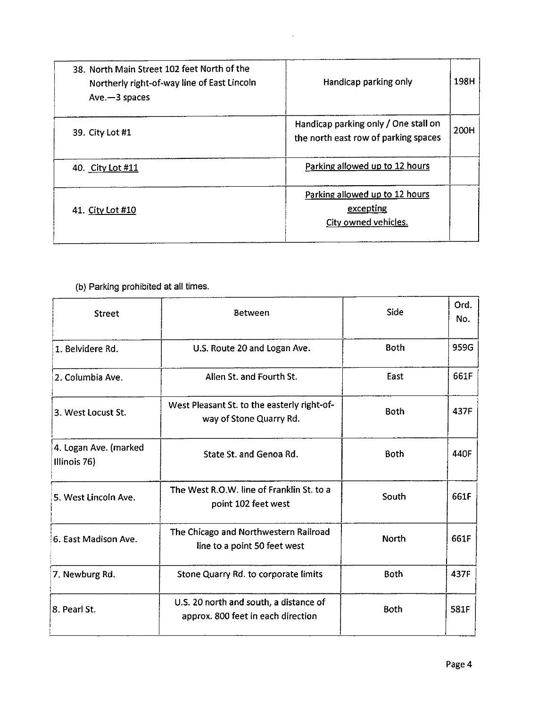| 38. North Main Street 102 feet North of the<br>Northerly right-of-way line of East Lincoln<br>$Ave - 3$ spaces | Handicap parking only                                                        | 198H |
|----------------------------------------------------------------------------------------------------------------|------------------------------------------------------------------------------|------|
| 39. City Lot #1                                                                                                | Handicap parking only / One stall on<br>the north east row of parking spaces | 200H |
| 40. City Lot #11                                                                                               | Parking allowed up to 12 hours                                               |      |
| 41. City Lot #10                                                                                               | Parking allowed up to 12 hours<br>excepting<br>City owned vehicles.          |      |

 $\bar{\gamma}$ 

### b) Parking prohibited at all times.

| <b>Street</b>                         | Between                                                                      | Side        | Ord.<br>No. |
|---------------------------------------|------------------------------------------------------------------------------|-------------|-------------|
| 1. Belvidere Rd.                      | U.S. Route 20 and Logan Ave.                                                 | <b>Both</b> | 959G        |
| 2. Columbia Ave.                      | Allen St. and Fourth St.                                                     | East        | 661F        |
| 3. West Locust St.                    | West Pleasant St. to the easterly right-of-<br>way of Stone Quarry Rd.       | <b>Both</b> | 437F        |
| 4. Logan Ave. (marked<br>Illinois 76) | State St. and Genoa Rd.                                                      | <b>Both</b> | 440F        |
| 5. West Lincoln Ave.                  | The West R.O.W. line of Franklin St. to a<br>point 102 feet west             | South       | 661F        |
| 6. East Madison Ave.                  | The Chicago and Northwestern Railroad<br>line to a point 50 feet west        | North       | 661F        |
| 7. Newburg Rd.                        | Stone Quarry Rd. to corporate limits                                         | Both        | 437F        |
| 8. Pearl St.                          | U.S. 20 north and south, a distance of<br>approx. 800 feet in each direction | <b>Both</b> | 581F        |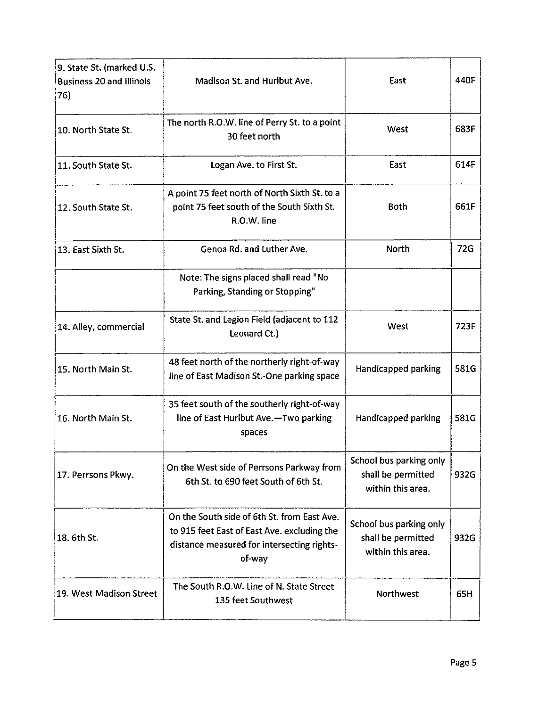| 9. State St. (marked U.S.<br><b>Business 20 and Illinois</b><br>76) | Madison St. and Hurlbut Ave.                                                                                                                       | East                                                               | 440F |
|---------------------------------------------------------------------|----------------------------------------------------------------------------------------------------------------------------------------------------|--------------------------------------------------------------------|------|
| 10. North State St.                                                 | The north R.O.W. line of Perry St. to a point<br>30 feet north                                                                                     | West                                                               | 683F |
| 11. South State St.                                                 | Logan Ave. to First St.                                                                                                                            | East                                                               | 614F |
| 12. South State St.                                                 | A point 75 feet north of North Sixth St. to a<br>point 75 feet south of the South Sixth St.<br>R.O.W. line                                         | <b>Both</b>                                                        | 661F |
| 13. East Sixth St.                                                  | Genoa Rd. and Luther Ave.                                                                                                                          | <b>North</b>                                                       | 72G  |
|                                                                     | Note: The signs placed shall read "No<br>Parking, Standing or Stopping"                                                                            |                                                                    |      |
| 14. Alley, commercial                                               | State St. and Legion Field (adjacent to 112<br>Leonard Ct.)                                                                                        | West                                                               | 723F |
| 15. North Main St.                                                  | 48 feet north of the northerly right-of-way<br>line of East Madison St.-One parking space                                                          | Handicapped parking                                                | 581G |
| 16. North Main St.                                                  | 35 feet south of the southerly right-of-way<br>line of East Hurlbut Ave.-Two parking<br>spaces                                                     | Handicapped parking                                                | 581G |
| 17. Perrsons Pkwy.                                                  | On the West side of Perrsons Parkway from<br>6th St. to 690 feet South of 6th St.                                                                  | School bus parking only<br>shall be permitted<br>within this area. | 932G |
| 18. 6th St.                                                         | On the South side of 6th St. from East Ave.<br>to 915 feet East of East Ave. excluding the<br>distance measured for intersecting rights-<br>of-way | School bus parking only<br>shall be permitted<br>within this area. | 932G |
| 19. West Madison Street                                             | The South R.O.W. Line of N. State Street<br>135 feet Southwest                                                                                     | <b>Northwest</b>                                                   | 65H  |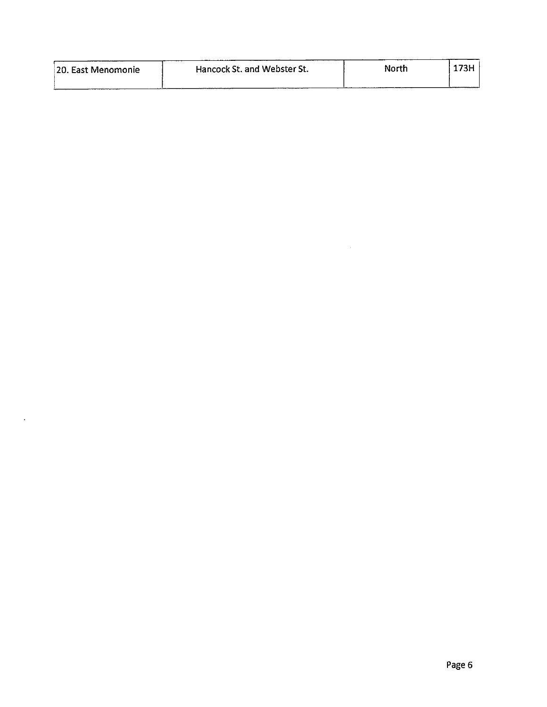| 20. East Menomonie | Hancock St. and Webster St. | North | . <i>.</i> |
|--------------------|-----------------------------|-------|------------|
|                    |                             |       |            |

 $\langle \bullet \rangle$ 

 $\mathcal{L}^{\text{max}}_{\text{max}}$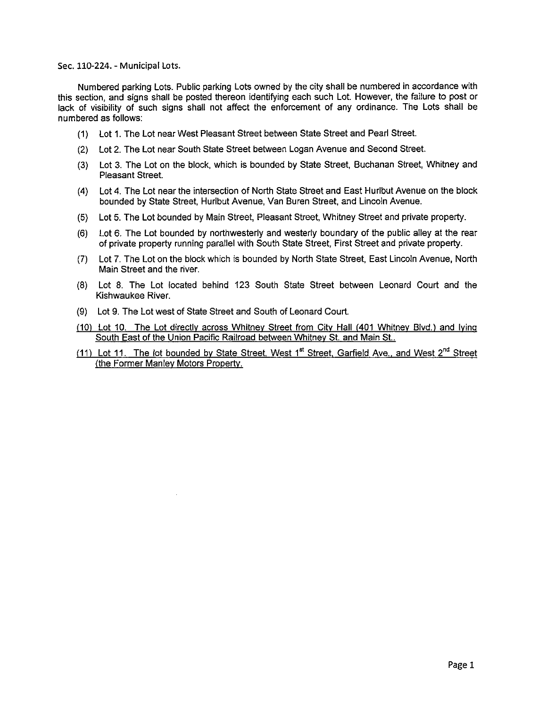#### Sec. 110-224. - Municipal Lots.

Numbered parking Lots. Public parking Lots owned by the city shall be numbered in accordance with this section, and signs shall be posted thereon identifying each such Lot. However, the failure to post or lack of visibility of such signs shall not affect the enforcement of any ordinance. The Lots shall be numbered as follows:

- 1) Lot 1. The Lot near West Pleasant Street between State Street and Pearl Street.
- 2) Lot 2. The Lot near South State Street between Logan Avenue and Second Street.
- 3) Lot 3. The Lot on the block, which is bounded by State Street, Buchanan Street, Whitney and Pleasant Street.
- 4) Lot 4. The Lot near the intersection of North State Street and East Hurlbut Avenue on the block bounded by State Street, Hurlbut Avenue, Van Buren Street, and Lincoln Avenue.
- 5) Lot 5. The Lot bounded by Main Street, Pleasant Street, Whitney Street and private property.
- 6) Lot 6. The Lot bounded by northwesterly and westerly boundary of the public alley at the rear of private property running parallel with South State Street, First Street and private property.
- 7) Lot 7. The Lot on the block which is bounded by North State Street, East Lincoln Avenue, North Main Street and the river.
- 8) Lot 8. The Lot located behind 123 South State Street between Leonard Court and the Kishwaukee River.
- 9) Lot 9. The Lot west of State Street and South of Leonard Court.
- 10) Lot 10. The Lot directly across Whitney Street from City Hall ( 401 Whitney Blvd.) and lying South East of the Union Pacific Railroad between Whitney St. and Main St..
- (11) Lot 11. The lot bounded by State Street, West 1<sup>st</sup> Street, Garfield Ave., and West 2<sup>nd</sup> Street the Former Manley Motors Property.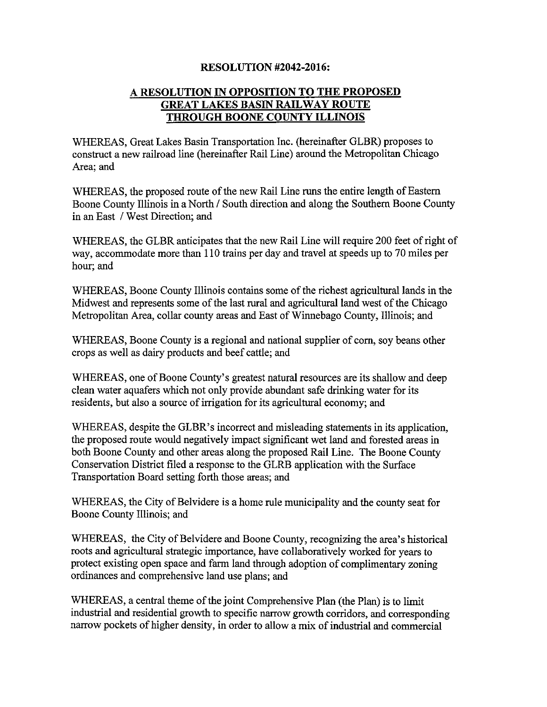#### **RESOLUTION #2042-2016:**

#### A RESOLUTION IN OPPOSITION TO THE PROPOSED GREAT LAKES BASIN RAILWAY ROUTE THROUGH BOONE COUNTY ILLINOIS

WHEREAS, Great Lakes Basin Transportation Inc. (hereinafter GLBR) proposes to construct a new railroad line (hereinafter Rail Line) around the Metropolitan Chicago Area; and

WHEREAS, the proposed route of the new Rail Line runs the entire length of Eastern Boone County Illinois in a North/ South direction and along the Southern Boone County in an East / West Direction; and

WHEREAS, the GLBR anticipates that the new Rail Line will require 200 feet of right of way, accommodate more than 110 trains per day and travel at speeds up to 70 miles per hour; and

WHEREAS, Boone County Illinois contains some of the richest agricultural lands in the Midwest and represents some of the last rural and agricultural land west of the Chicago Metropolitan Area, collar county areas and East of Winnebago County, Illinois; and

WHEREAS, Boone County is a regional and national supplier of corn, soy beans other crops as well as dairy products and beef cattle; and

WHEREAS, one of Boone County's greatest natural resources are its shallow and deep clean water aquafers which not only provide abundant safe drinking water for its residents, but also <sup>a</sup> source of irrigation for its agricultural economy; and

WHEREAS, despite the GLBR's incorrect and misleading statements in its application, the proposed route would negatively impact significant wet land and forested areas in both Boone County and other areas along the proposed Rail Line. The Boone County Conservation District filed a response to the GLRB application with the Surface Transportation Board setting forth those areas; and

WHEREAS, the City of Belvidere is a home rule municipality and the county seat for Boone County Illinois; and

WHEREAS, the City of Belvidere and Boone County, recognizing the area's historical roots and agricultural strategic importance, have collaboratively worked for years to protect existing open space and farm land through adoption of complimentary zoning ordinances and comprehensive land use plans; and

WHEREAS, a central theme of the joint Comprehensive Plan (the Plan) is to limit industrial and residential growth to specific narrow growth corridors, and corresponding narrow pockets of higher density, in order to allow a mix of industrial and commercial